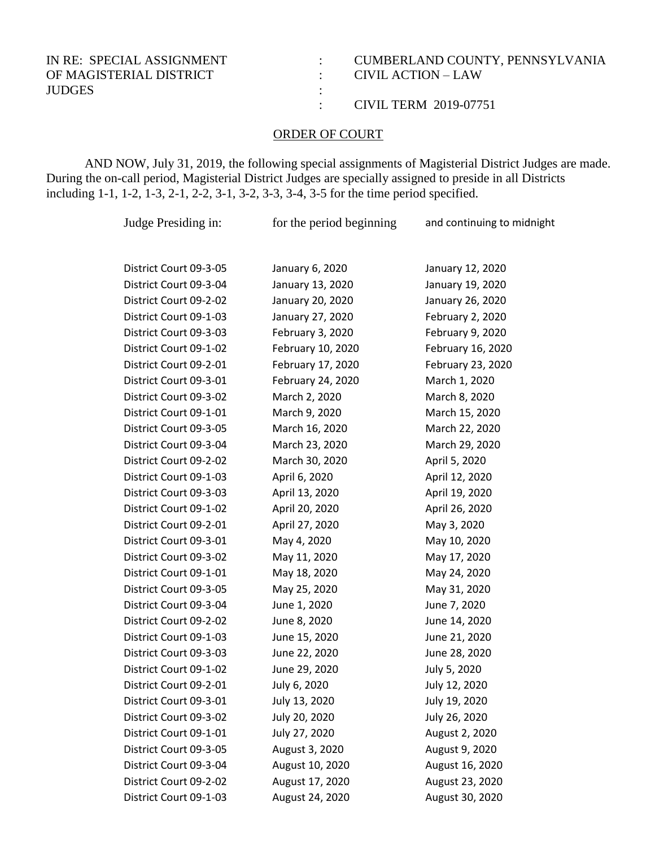## OF MAGISTERIAL DISTRICT : CIVIL ACTION – LAW JUDGES :

## IN RE: SPECIAL ASSIGNMENT : CUMBERLAND COUNTY, PENNSYLVANIA

: CIVIL TERM 2019-07751

## ORDER OF COURT

AND NOW, July 31, 2019, the following special assignments of Magisterial District Judges are made. During the on-call period, Magisterial District Judges are specially assigned to preside in all Districts including 1-1, 1-2, 1-3, 2-1, 2-2, 3-1, 3-2, 3-3, 3-4, 3-5 for the time period specified.

Judge Presiding in: for the period beginning and continuing to midnight

| District Court 09-3-05 | January 6, 2020   | January 12, 2020  |
|------------------------|-------------------|-------------------|
| District Court 09-3-04 | January 13, 2020  | January 19, 2020  |
| District Court 09-2-02 | January 20, 2020  | January 26, 2020  |
| District Court 09-1-03 | January 27, 2020  | February 2, 2020  |
| District Court 09-3-03 | February 3, 2020  | February 9, 2020  |
| District Court 09-1-02 | February 10, 2020 | February 16, 2020 |
| District Court 09-2-01 | February 17, 2020 | February 23, 2020 |
| District Court 09-3-01 | February 24, 2020 | March 1, 2020     |
| District Court 09-3-02 | March 2, 2020     | March 8, 2020     |
| District Court 09-1-01 | March 9, 2020     | March 15, 2020    |
| District Court 09-3-05 | March 16, 2020    | March 22, 2020    |
| District Court 09-3-04 | March 23, 2020    | March 29, 2020    |
| District Court 09-2-02 | March 30, 2020    | April 5, 2020     |
| District Court 09-1-03 | April 6, 2020     | April 12, 2020    |
| District Court 09-3-03 | April 13, 2020    | April 19, 2020    |
| District Court 09-1-02 | April 20, 2020    | April 26, 2020    |
| District Court 09-2-01 | April 27, 2020    | May 3, 2020       |
| District Court 09-3-01 | May 4, 2020       | May 10, 2020      |
| District Court 09-3-02 | May 11, 2020      | May 17, 2020      |
| District Court 09-1-01 | May 18, 2020      | May 24, 2020      |
| District Court 09-3-05 | May 25, 2020      | May 31, 2020      |
| District Court 09-3-04 | June 1, 2020      | June 7, 2020      |
| District Court 09-2-02 | June 8, 2020      | June 14, 2020     |
| District Court 09-1-03 | June 15, 2020     | June 21, 2020     |
| District Court 09-3-03 | June 22, 2020     | June 28, 2020     |
| District Court 09-1-02 | June 29, 2020     | July 5, 2020      |
| District Court 09-2-01 | July 6, 2020      | July 12, 2020     |
| District Court 09-3-01 | July 13, 2020     | July 19, 2020     |
| District Court 09-3-02 | July 20, 2020     | July 26, 2020     |
| District Court 09-1-01 | July 27, 2020     | August 2, 2020    |
| District Court 09-3-05 | August 3, 2020    | August 9, 2020    |
| District Court 09-3-04 | August 10, 2020   | August 16, 2020   |
| District Court 09-2-02 | August 17, 2020   | August 23, 2020   |
| District Court 09-1-03 | August 24, 2020   | August 30, 2020   |